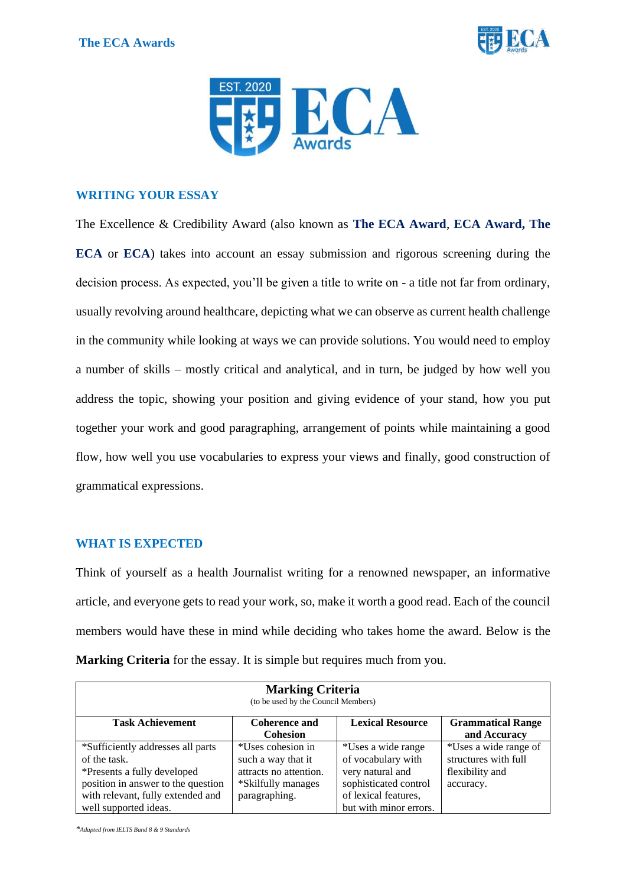



# **WRITING YOUR ESSAY**

The Excellence & Credibility Award (also known as **The ECA Award**, **ECA Award, The ECA** or **ECA**) takes into account an essay submission and rigorous screening during the decision process. As expected, you'll be given a title to write on - a title not far from ordinary, usually revolving around healthcare, depicting what we can observe as current health challenge in the community while looking at ways we can provide solutions. You would need to employ a number of skills – mostly critical and analytical, and in turn, be judged by how well you address the topic, showing your position and giving evidence of your stand, how you put together your work and good paragraphing, arrangement of points while maintaining a good flow, how well you use vocabularies to express your views and finally, good construction of grammatical expressions.

## **WHAT IS EXPECTED**

Think of yourself as a health Journalist writing for a renowned newspaper, an informative article, and everyone gets to read your work, so, make it worth a good read. Each of the council members would have these in mind while deciding who takes home the award. Below is the **Marking Criteria** for the essay. It is simple but requires much from you.

| <b>Marking Criteria</b><br>(to be used by the Council Members) |                        |                         |                          |
|----------------------------------------------------------------|------------------------|-------------------------|--------------------------|
| <b>Task Achievement</b>                                        | <b>Coherence and</b>   | <b>Lexical Resource</b> | <b>Grammatical Range</b> |
|                                                                | <b>Cohesion</b>        |                         | and Accuracy             |
| *Sufficiently addresses all parts                              | *Uses cohesion in      | *Uses a wide range      | *Uses a wide range of    |
| of the task.                                                   | such a way that it     | of vocabulary with      | structures with full     |
| *Presents a fully developed                                    | attracts no attention. | very natural and        | flexibility and          |
| position in answer to the question                             | *Skilfully manages     | sophisticated control   | accuracy.                |
| with relevant, fully extended and                              | paragraphing.          | of lexical features,    |                          |
| well supported ideas.                                          |                        | but with minor errors.  |                          |

*\*Adapted from IELTS Band 8 & 9 Standards*